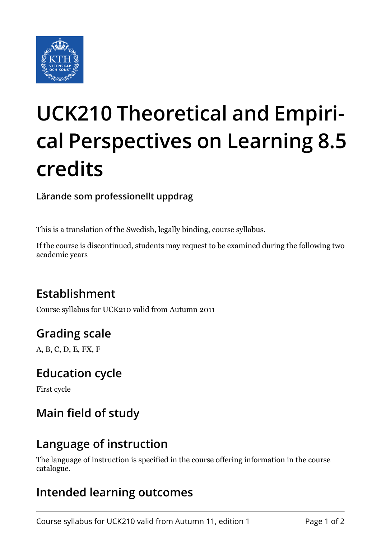

# **UCK210 Theoretical and Empirical Perspectives on Learning 8.5 credits**

**Lärande som professionellt uppdrag**

This is a translation of the Swedish, legally binding, course syllabus.

If the course is discontinued, students may request to be examined during the following two academic years

# **Establishment**

Course syllabus for UCK210 valid from Autumn 2011

# **Grading scale**

A, B, C, D, E, FX, F

### **Education cycle**

First cycle

# **Main field of study**

### **Language of instruction**

The language of instruction is specified in the course offering information in the course catalogue.

## **Intended learning outcomes**